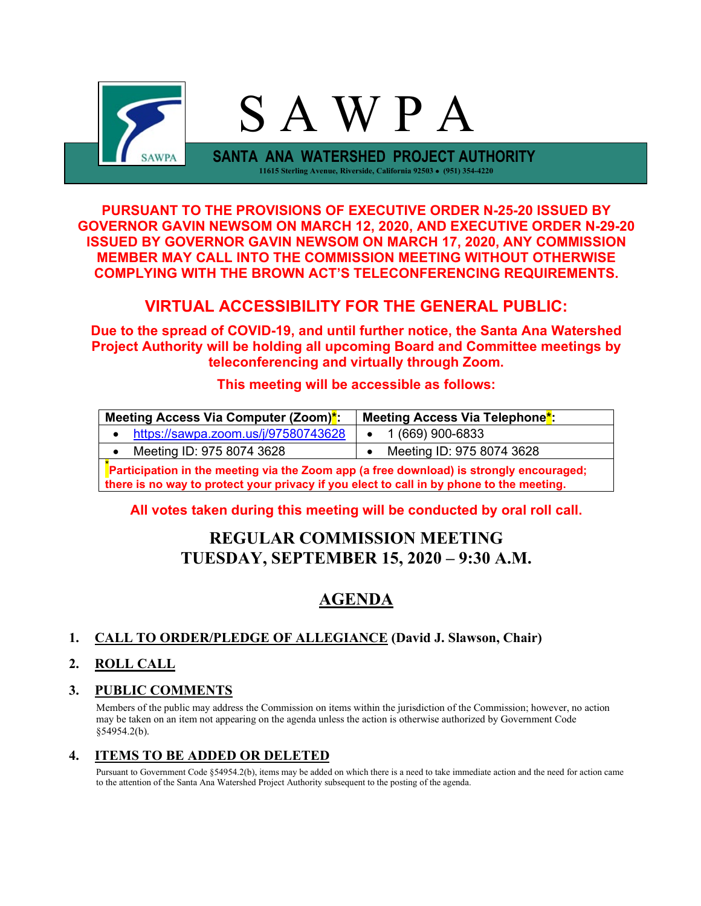

**PURSUANT TO THE PROVISIONS OF EXECUTIVE ORDER N-25-20 ISSUED BY GOVERNOR GAVIN NEWSOM ON MARCH 12, 2020, AND EXECUTIVE ORDER N-29-20 ISSUED BY GOVERNOR GAVIN NEWSOM ON MARCH 17, 2020, ANY COMMISSION MEMBER MAY CALL INTO THE COMMISSION MEETING WITHOUT OTHERWISE COMPLYING WITH THE BROWN ACT'S TELECONFERENCING REQUIREMENTS.**

# **VIRTUAL ACCESSIBILITY FOR THE GENERAL PUBLIC:**

**Due to the spread of COVID-19, and until further notice, the Santa Ana Watershed Project Authority will be holding all upcoming Board and Committee meetings by teleconferencing and virtually through Zoom.**

### **This meeting will be accessible as follows:**

| Meeting Access Via Computer (Zoom)*:                                                                                                                                                | Meeting Access Via Telephone <sup>*</sup> : |  |  |  |
|-------------------------------------------------------------------------------------------------------------------------------------------------------------------------------------|---------------------------------------------|--|--|--|
| https://sawpa.zoom.us/j/97580743628                                                                                                                                                 | 1 (669) 900-6833                            |  |  |  |
| Meeting ID: 975 8074 3628                                                                                                                                                           | Meeting ID: 975 8074 3628                   |  |  |  |
| Participation in the meeting via the Zoom app (a free download) is strongly encouraged;<br>there is no way to protect your privacy if you elect to call in by phone to the meeting. |                                             |  |  |  |

### **All votes taken during this meeting will be conducted by oral roll call.**

# **REGULAR COMMISSION MEETING TUESDAY, SEPTEMBER 15, 2020 – 9:30 A.M.**

# **AGENDA**

### **1. CALL TO ORDER/PLEDGE OF ALLEGIANCE (David J. Slawson, Chair)**

### **2. ROLL CALL**

### **3. PUBLIC COMMENTS**

Members of the public may address the Commission on items within the jurisdiction of the Commission; however, no action may be taken on an item not appearing on the agenda unless the action is otherwise authorized by Government Code §54954.2(b).

### **4. ITEMS TO BE ADDED OR DELETED**

Pursuant to Government Code §54954.2(b), items may be added on which there is a need to take immediate action and the need for action came to the attention of the Santa Ana Watershed Project Authority subsequent to the posting of the agenda.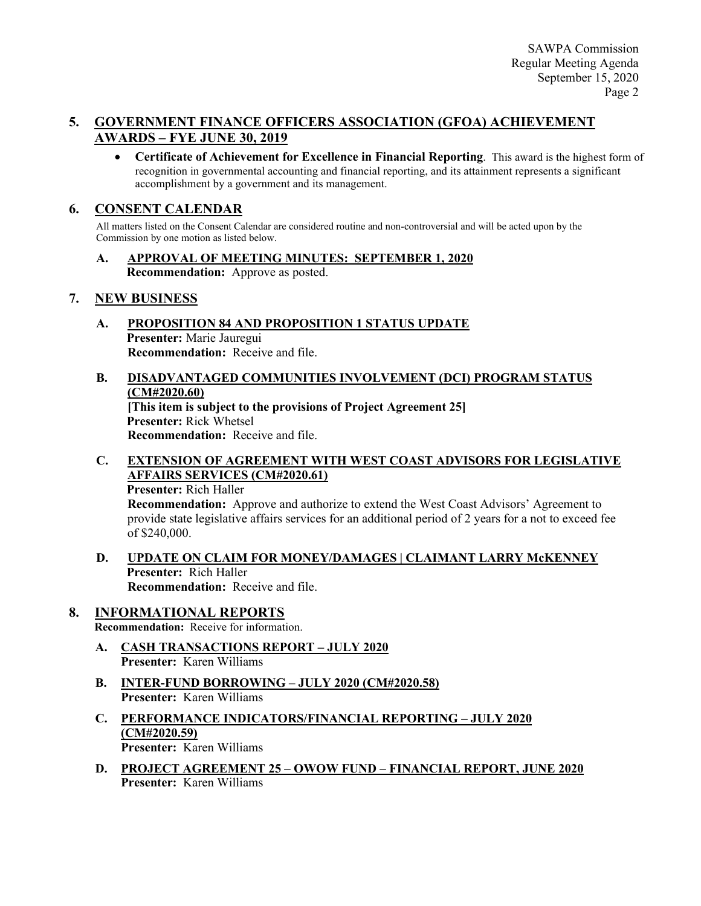### **5. GOVERNMENT FINANCE OFFICERS ASSOCIATION (GFOA) ACHIEVEMENT AWARDS – FYE JUNE 30, 2019**

• **Certificate of Achievement for Excellence in Financial Reporting**. This award is the highest form of recognition in governmental accounting and financial reporting, and its attainment represents a significant accomplishment by a government and its management.

### **6. CONSENT CALENDAR**

All matters listed on the Consent Calendar are considered routine and non-controversial and will be acted upon by the Commission by one motion as listed below.

**A. APPROVAL OF MEETING MINUTES: SEPTEMBER 1, 2020 Recommendation:** Approve as posted.

### **7. NEW BUSINESS**

- **A. PROPOSITION 84 AND PROPOSITION 1 STATUS UPDATE Presenter:** Marie Jauregui **Recommendation:** Receive and file.
- **B. DISADVANTAGED COMMUNITIES INVOLVEMENT (DCI) PROGRAM STATUS (CM#2020.60) [This item is subject to the provisions of Project Agreement 25] Presenter:** Rick Whetsel **Recommendation:** Receive and file.
- **C. EXTENSION OF AGREEMENT WITH WEST COAST ADVISORS FOR LEGISLATIVE AFFAIRS SERVICES (CM#2020.61)**

**Presenter:** Rich Haller

**Recommendation:** Approve and authorize to extend the West Coast Advisors' Agreement to provide state legislative affairs services for an additional period of 2 years for a not to exceed fee of \$240,000.

**D. UPDATE ON CLAIM FOR MONEY/DAMAGES | CLAIMANT LARRY McKENNEY Presenter:** Rich Haller **Recommendation:** Receive and file.

### **8. INFORMATIONAL REPORTS**

**Recommendation:** Receive for information.

- **A. CASH TRANSACTIONS REPORT – JULY 2020 Presenter:** Karen Williams
- **B. INTER-FUND BORROWING – JULY 2020 (CM#2020.58) Presenter:** Karen Williams
- **C. PERFORMANCE INDICATORS/FINANCIAL REPORTING – JULY 2020 (CM#2020.59) Presenter:** Karen Williams
- **D. PROJECT AGREEMENT 25 – OWOW FUND – FINANCIAL REPORT, JUNE 2020 Presenter:** Karen Williams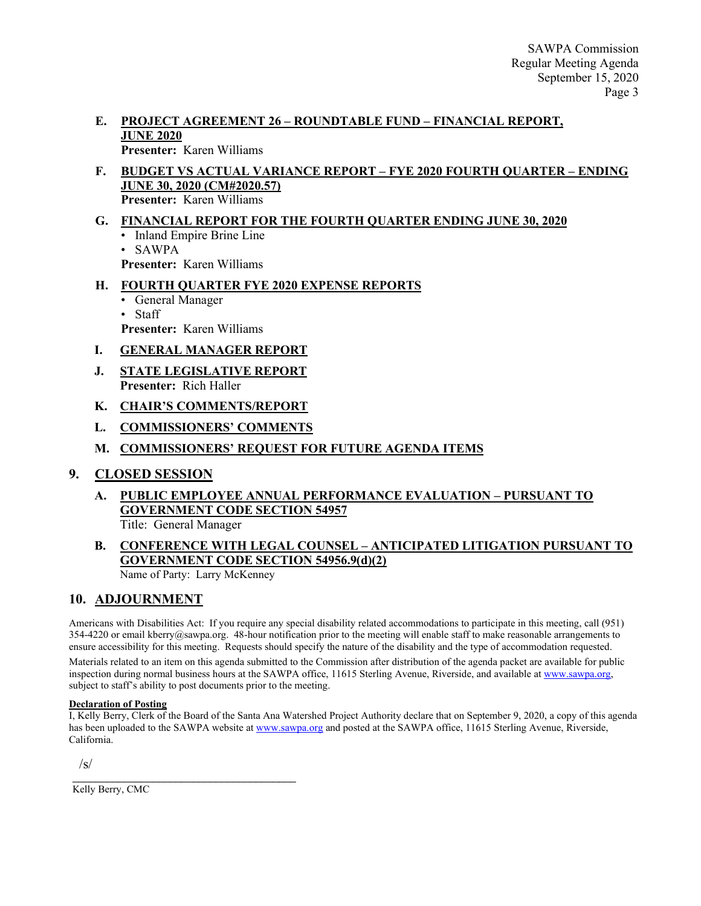#### **E. PROJECT AGREEMENT 26 – ROUNDTABLE FUND – FINANCIAL REPORT, JUNE 2020 Presenter:** Karen Williams

#### **F. BUDGET VS ACTUAL VARIANCE REPORT – FYE 2020 FOURTH QUARTER – ENDING JUNE 30, 2020 (CM#2020.57) Presenter:** Karen Williams

**G. FINANCIAL REPORT FOR THE FOURTH QUARTER ENDING JUNE 30, 2020** • Inland Empire Brine Line • SAWPA

**Presenter:** Karen Williams

### **H. FOURTH QUARTER FYE 2020 EXPENSE REPORTS**

• General Manager

• Staff **Presenter:** Karen Williams

### **I. GENERAL MANAGER REPORT**

- **J. STATE LEGISLATIVE REPORT Presenter:** Rich Haller
- **K. CHAIR'S COMMENTS/REPORT**
- **L. COMMISSIONERS' COMMENTS**

### **M. COMMISSIONERS' REQUEST FOR FUTURE AGENDA ITEMS**

### **9. CLOSED SESSION**

**A. PUBLIC EMPLOYEE ANNUAL PERFORMANCE EVALUATION – PURSUANT TO GOVERNMENT CODE SECTION 54957** Title: General Manager

# **B. CONFERENCE WITH LEGAL COUNSEL – ANTICIPATED LITIGATION PURSUANT TO GOVERNMENT CODE SECTION 54956.9(d)(2)**

Name of Party: Larry McKenney

## **10. ADJOURNMENT**

Americans with Disabilities Act: If you require any special disability related accommodations to participate in this meeting, call (951) 354-4220 or email kberry@sawpa.org. 48-hour notification prior to the meeting will enable staff to make reasonable arrangements to ensure accessibility for this meeting. Requests should specify the nature of the disability and the type of accommodation requested.

Materials related to an item on this agenda submitted to the Commission after distribution of the agenda packet are available for public inspection during normal business hours at the SAWPA office, 11615 Sterling Avenue, Riverside, and available at [www.sawpa.org,](http://www.sawpa.org/)  subject to staff's ability to post documents prior to the meeting.

#### **Declaration of Posting**

I, Kelly Berry, Clerk of the Board of the Santa Ana Watershed Project Authority declare that on September 9, 2020, a copy of this agenda has been uploaded to the SAWPA website at [www.sawpa.org](http://www.sawpa.org/) and posted at the SAWPA office, 11615 Sterling Avenue, Riverside, California.

/s/

\_\_\_\_\_\_\_\_\_\_\_\_\_\_\_\_\_\_\_\_\_\_\_\_\_\_\_\_\_\_\_\_\_\_\_\_\_\_\_ Kelly Berry, CMC